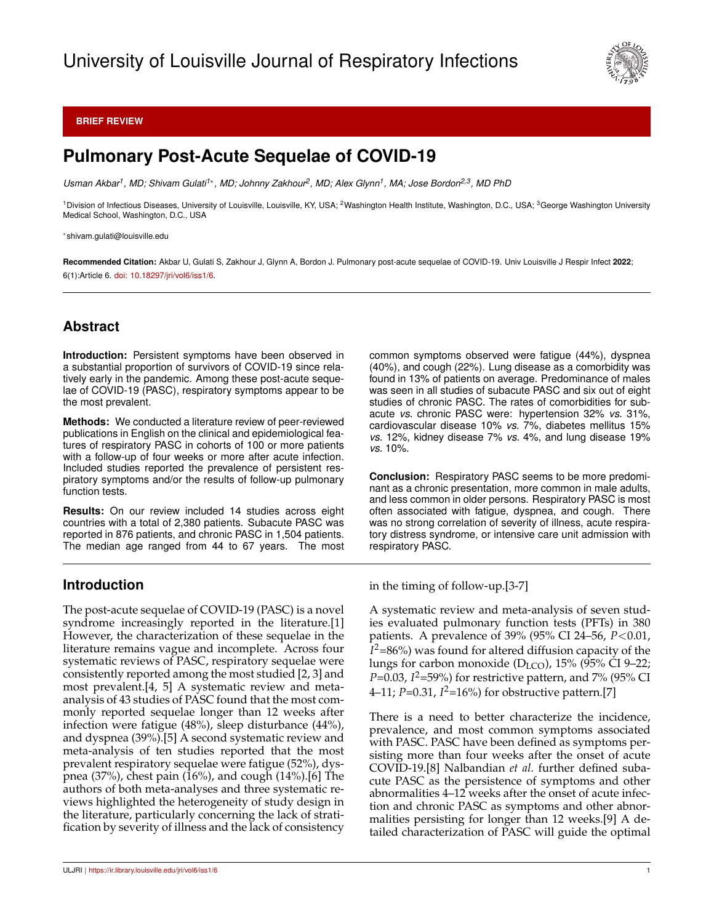

#### **BRIEF REVIEW**

# **Pulmonary Post-Acute Sequelae of COVID-19**

*Usman Akbar<sup>1</sup> , MD; Shivam Gulati1*<sup>∗</sup> *, MD; Johnny Zakhour<sup>2</sup> , MD; Alex Glynn<sup>1</sup> , MA; Jose Bordon2,3, MD PhD*

<sup>1</sup>Division of Infectious Diseases, University of Louisville, Louisville, KY, USA; <sup>2</sup>Washington Health Institute, Washington, D.C., USA; <sup>3</sup>George Washington University Medical School, Washington, D.C., USA

<sup>∗</sup>shivam.gulati@louisville.edu

**Recommended Citation:** Akbar U, Gulati S, Zakhour J, Glynn A, Bordon J. Pulmonary post-acute sequelae of COVID-19. Univ Louisville J Respir Infect **2022**; 6(1):Article 6. [doi: 10.18297/jri/vol6/iss1/6.](http://dx.doi.org/10.18297/jri/vol\volume /iss\issue /\articleno )

## **Abstract**

**Introduction:** Persistent symptoms have been observed in a substantial proportion of survivors of COVID-19 since relatively early in the pandemic. Among these post-acute sequelae of COVID-19 (PASC), respiratory symptoms appear to be the most prevalent.

**Methods:** We conducted a literature review of peer-reviewed publications in English on the clinical and epidemiological features of respiratory PASC in cohorts of 100 or more patients with a follow-up of four weeks or more after acute infection. Included studies reported the prevalence of persistent respiratory symptoms and/or the results of follow-up pulmonary function tests.

**Results:** On our review included 14 studies across eight countries with a total of 2,380 patients. Subacute PASC was reported in 876 patients, and chronic PASC in 1,504 patients. The median age ranged from 44 to 67 years. The most

## **Introduction**

The post-acute sequelae of COVID-19 (PASC) is a novel syndrome increasingly reported in the literature.[1] However, the characterization of these sequelae in the literature remains vague and incomplete. Across four systematic reviews of PASC, respiratory sequelae were consistently reported among the most studied [2, 3] and most prevalent.[4, 5] A systematic review and metaanalysis of 43 studies of PASC found that the most commonly reported sequelae longer than 12 weeks after infection were fatigue (48%), sleep disturbance (44%), and dyspnea (39%).[5] A second systematic review and meta-analysis of ten studies reported that the most prevalent respiratory sequelae were fatigue (52%), dyspnea (37%), chest pain (16%), and cough (14%).[6] The authors of both meta-analyses and three systematic reviews highlighted the heterogeneity of study design in the literature, particularly concerning the lack of stratification by severity of illness and the lack of consistency common symptoms observed were fatigue (44%), dyspnea (40%), and cough (22%). Lung disease as a comorbidity was found in 13% of patients on average. Predominance of males was seen in all studies of subacute PASC and six out of eight studies of chronic PASC. The rates of comorbidities for subacute *vs.* chronic PASC were: hypertension 32% *vs.* 31%, cardiovascular disease 10% *vs.* 7%, diabetes mellitus 15% *vs.* 12%, kidney disease 7% *vs.* 4%, and lung disease 19% *vs.* 10%.

**Conclusion:** Respiratory PASC seems to be more predominant as a chronic presentation, more common in male adults, and less common in older persons. Respiratory PASC is most often associated with fatigue, dyspnea, and cough. There was no strong correlation of severity of illness, acute respiratory distress syndrome, or intensive care unit admission with respiratory PASC.

in the timing of follow-up.[3-7]

A systematic review and meta-analysis of seven studies evaluated pulmonary function tests (PFTs) in 380 patients. A prevalence of 39% (95% CI 24–56, *P*<0.01, *I* <sup>2</sup>=86%) was found for altered diffusion capacity of the lungs for carbon monoxide ( $D_{LCO}$ ), 15% (95% CI 9–22; *P*=0.03, *I* <sup>2</sup>=59%) for restrictive pattern, and 7% (95% CI 4–11; *P*=0.31, *I* <sup>2</sup>=16%) for obstructive pattern.[7]

There is a need to better characterize the incidence, prevalence, and most common symptoms associated with PASC. PASC have been defined as symptoms persisting more than four weeks after the onset of acute COVID-19.[8] Nalbandian *et al.* further defined subacute PASC as the persistence of symptoms and other abnormalities 4–12 weeks after the onset of acute infection and chronic PASC as symptoms and other abnormalities persisting for longer than 12 weeks.[9] A detailed characterization of PASC will guide the optimal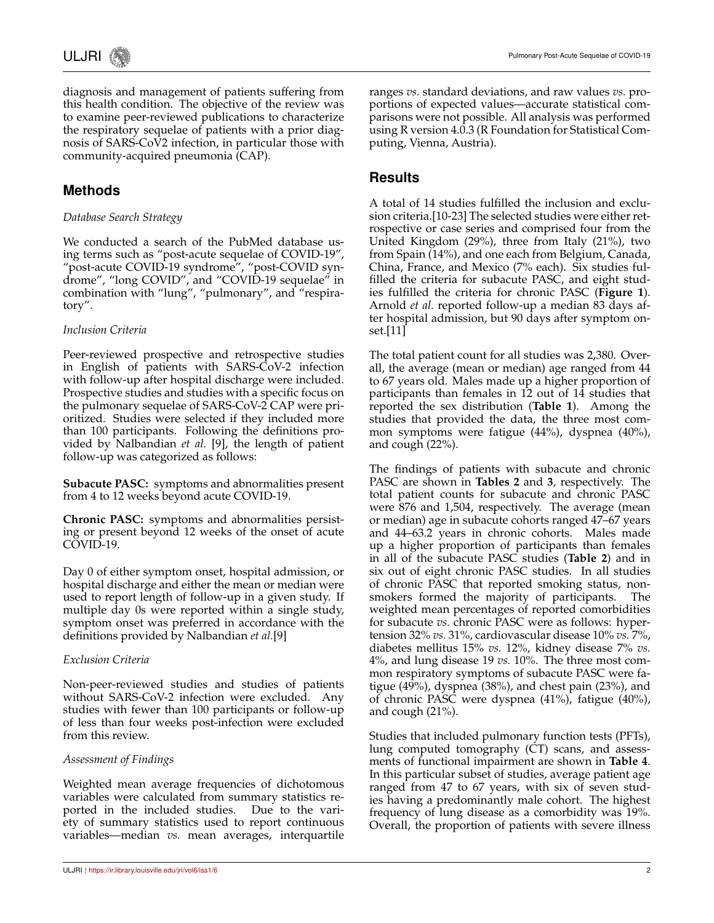

diagnosis and management of patients suffering from this health condition. The objective of the review was to examine peer-reviewed publications to characterize the respiratory sequelae of patients with a prior diagnosis of SARS-CoV2 infection, in particular those with community-acquired pneumonia (CAP).

## **Methods**

### *Database Search Strategy*

We conducted a search of the PubMed database using terms such as "post-acute sequelae of COVID-19", "post-acute COVID-19 syndrome", "post-COVID syndrome", "long COVID", and "COVID-19 sequelae" in combination with "lung", "pulmonary", and "respiratory".

#### *Inclusion Criteria*

Peer-reviewed prospective and retrospective studies in English of patients with SARS-CoV-2 infection with follow-up after hospital discharge were included. Prospective studies and studies with a specific focus on the pulmonary sequelae of SARS-CoV-2 CAP were prioritized. Studies were selected if they included more than 100 participants. Following the definitions provided by Nalbandian *et al.* [9], the length of patient follow-up was categorized as follows:

**Subacute PASC:** symptoms and abnormalities present from 4 to 12 weeks beyond acute COVID-19.

**Chronic PASC:** symptoms and abnormalities persisting or present beyond 12 weeks of the onset of acute COVID-19.

Day 0 of either symptom onset, hospital admission, or hospital discharge and either the mean or median were used to report length of follow-up in a given study. If multiple day 0s were reported within a single study, symptom onset was preferred in accordance with the definitions provided by Nalbandian *et al.*[9]

#### *Exclusion Criteria*

Non-peer-reviewed studies and studies of patients without SARS-CoV-2 infection were excluded. Any studies with fewer than 100 participants or follow-up of less than four weeks post-infection were excluded from this review.

#### *Assessment of Findings*

Weighted mean average frequencies of dichotomous variables were calculated from summary statistics reported in the included studies. Due to the variety of summary statistics used to report continuous variables—median *vs.* mean averages, interquartile ranges *vs.* standard deviations, and raw values *vs.* proportions of expected values—accurate statistical comparisons were not possible. All analysis was performed using R version 4.0.3 (R Foundation for Statistical Computing, Vienna, Austria).

## **Results**

A total of 14 studies fulfilled the inclusion and exclusion criteria.[10-23] The selected studies were either retrospective or case series and comprised four from the United Kingdom (29%), three from Italy (21%), two from Spain (14%), and one each from Belgium, Canada, China, France, and Mexico (7% each). Six studies fulfilled the criteria for subacute PASC, and eight studies fulfilled the criteria for chronic PASC (**Figure 1**). Arnold *et al.* reported follow-up a median 83 days after hospital admission, but 90 days after symptom onset.[11]

The total patient count for all studies was 2,380. Overall, the average (mean or median) age ranged from 44 to 67 years old. Males made up a higher proportion of participants than females in 12 out of 14 studies that reported the sex distribution (**Table 1**). Among the studies that provided the data, the three most common symptoms were fatigue (44%), dyspnea (40%), and cough (22%).

The findings of patients with subacute and chronic PASC are shown in **Tables 2** and **3**, respectively. The total patient counts for subacute and chronic PASC were 876 and 1,504, respectively. The average (mean or median) age in subacute cohorts ranged 47–67 years and 44–63.2 years in chronic cohorts. Males made up a higher proportion of participants than females in all of the subacute PASC studies (**Table 2**) and in six out of eight chronic PASC studies. In all studies of chronic PASC that reported smoking status, nonsmokers formed the majority of participants. The weighted mean percentages of reported comorbidities for subacute *vs.* chronic PASC were as follows: hypertension 32% *vs.* 31%, cardiovascular disease 10% *vs.* 7%, diabetes mellitus 15% *vs.* 12%, kidney disease 7% *vs.* 4%, and lung disease 19 *vs.* 10%. The three most common respiratory symptoms of subacute PASC were fatigue (49%), dyspnea (38%), and chest pain (23%), and of chronic PASC were dyspnea (41%), fatigue (40%), and cough (21%).

Studies that included pulmonary function tests (PFTs), lung computed tomography (CT) scans, and assessments of functional impairment are shown in **Table 4**. In this particular subset of studies, average patient age ranged from 47 to 67 years, with six of seven studies having a predominantly male cohort. The highest frequency of lung disease as a comorbidity was 19%. Overall, the proportion of patients with severe illness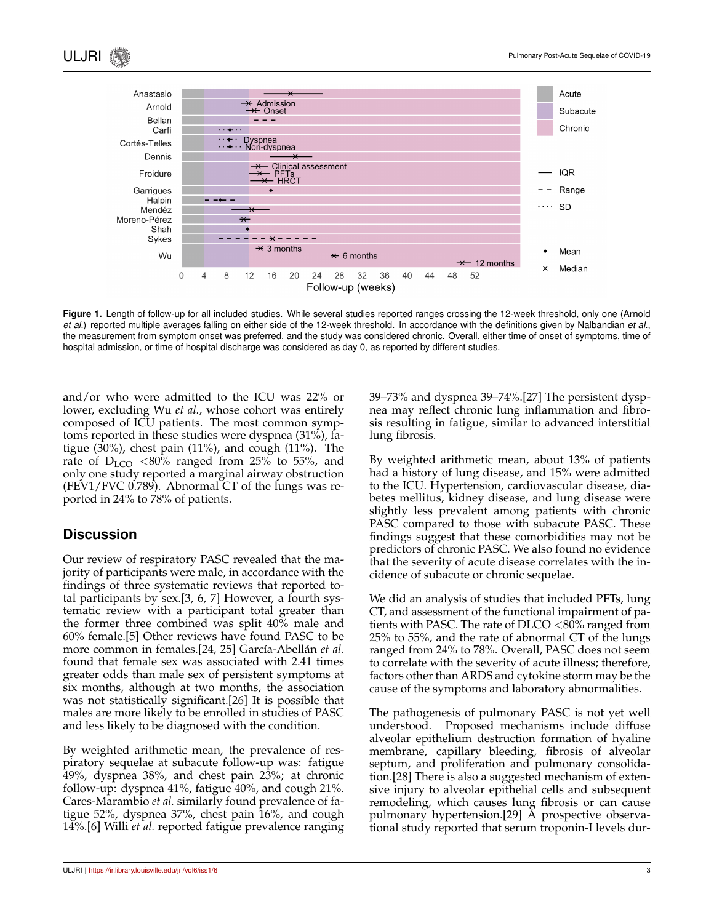

**Figure 1.** Length of follow-up for all included studies. While several studies reported ranges crossing the 12-week threshold, only one (Arnold *et al.*) reported multiple averages falling on either side of the 12-week threshold. In accordance with the definitions given by Nalbandian *et al.*, the measurement from symptom onset was preferred, and the study was considered chronic. Overall, either time of onset of symptoms, time of hospital admission, or time of hospital discharge was considered as day 0, as reported by different studies.

and/or who were admitted to the ICU was 22% or lower, excluding Wu *et al.*, whose cohort was entirely composed of ICU patients. The most common symptoms reported in these studies were dyspnea (31%), fatigue (30%), chest pain (11%), and cough (11%). The rate of  $D_{LCO}$  <80% ranged from 25% to 55%, and only one study reported a marginal airway obstruction (FEV1/FVC 0.789). Abnormal CT of the lungs was reported in 24% to 78% of patients.

## **Discussion**

Our review of respiratory PASC revealed that the majority of participants were male, in accordance with the findings of three systematic reviews that reported total participants by sex.[3, 6, 7] However, a fourth systematic review with a participant total greater than the former three combined was split 40% male and 60% female.[5] Other reviews have found PASC to be more common in females.[24, 25] García-Abellán et al. found that female sex was associated with 2.41 times greater odds than male sex of persistent symptoms at six months, although at two months, the association was not statistically significant.[26] It is possible that males are more likely to be enrolled in studies of PASC and less likely to be diagnosed with the condition.

By weighted arithmetic mean, the prevalence of respiratory sequelae at subacute follow-up was: fatigue 49%, dyspnea 38%, and chest pain 23%; at chronic follow-up: dyspnea 41%, fatigue 40%, and cough 21%. Cares-Marambio *et al.* similarly found prevalence of fatigue 52%, dyspnea 37%, chest pain 16%, and cough 14%.[6] Willi *et al.* reported fatigue prevalence ranging 39–73% and dyspnea 39–74%.[27] The persistent dyspnea may reflect chronic lung inflammation and fibrosis resulting in fatigue, similar to advanced interstitial lung fibrosis.

By weighted arithmetic mean, about 13% of patients had a history of lung disease, and 15% were admitted to the ICU. Hypertension, cardiovascular disease, diabetes mellitus, kidney disease, and lung disease were slightly less prevalent among patients with chronic PASC compared to those with subacute PASC. These findings suggest that these comorbidities may not be predictors of chronic PASC. We also found no evidence that the severity of acute disease correlates with the incidence of subacute or chronic sequelae.

We did an analysis of studies that included PFTs, lung CT, and assessment of the functional impairment of patients with PASC. The rate of  $D<sub>CO</sub> < 80\%$  ranged from 25% to 55%, and the rate of abnormal CT of the lungs ranged from 24% to 78%. Overall, PASC does not seem to correlate with the severity of acute illness; therefore, factors other than ARDS and cytokine storm may be the cause of the symptoms and laboratory abnormalities.

The pathogenesis of pulmonary PASC is not yet well understood. Proposed mechanisms include diffuse alveolar epithelium destruction formation of hyaline membrane, capillary bleeding, fibrosis of alveolar septum, and proliferation and pulmonary consolidation.[28] There is also a suggested mechanism of extensive injury to alveolar epithelial cells and subsequent remodeling, which causes lung fibrosis or can cause pulmonary hypertension.[29] A prospective observational study reported that serum troponin-I levels dur-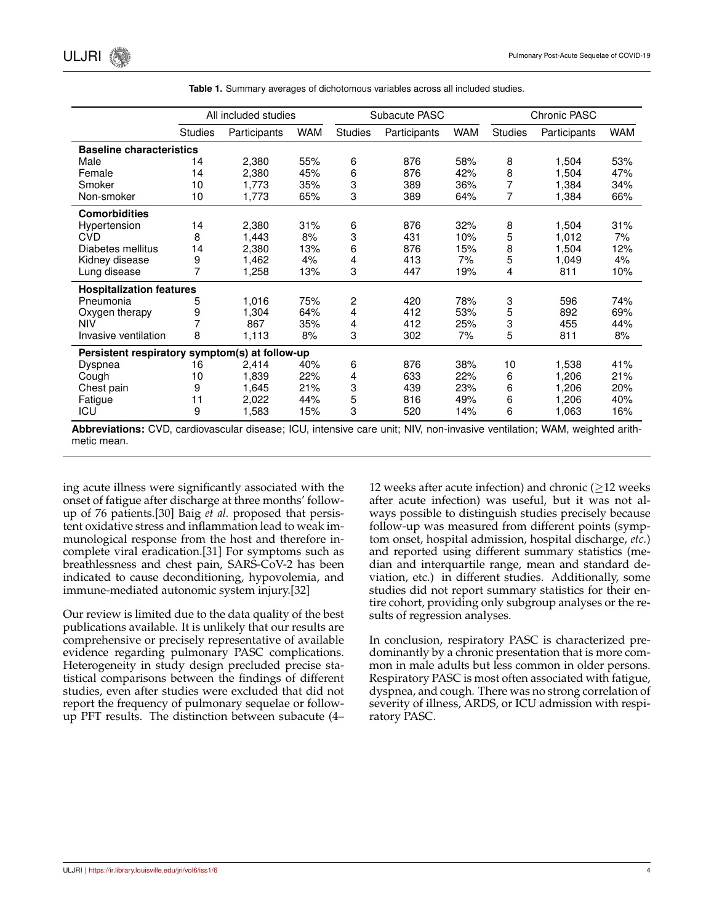|                                                |                | All included studies |            |                | Subacute PASC |            |                | Chronic PASC |            |
|------------------------------------------------|----------------|----------------------|------------|----------------|---------------|------------|----------------|--------------|------------|
|                                                | <b>Studies</b> | Participants         | <b>WAM</b> | <b>Studies</b> | Participants  | <b>WAM</b> | <b>Studies</b> | Participants | <b>WAM</b> |
| <b>Baseline characteristics</b>                |                |                      |            |                |               |            |                |              |            |
| Male                                           | 14             | 2,380                | 55%        | 6              | 876           | 58%        | 8              | 1,504        | 53%        |
| Female                                         | 14             | 2,380                | 45%        | 6              | 876           | 42%        | 8              | 1,504        | 47%        |
| Smoker                                         | 10             | 1,773                | 35%        | 3              | 389           | 36%        | 7              | 1,384        | 34%        |
| Non-smoker                                     | 10             | 1,773                | 65%        | 3              | 389           | 64%        | 7              | 1,384        | 66%        |
| <b>Comorbidities</b>                           |                |                      |            |                |               |            |                |              |            |
| Hypertension                                   | 14             | 2,380                | 31%        | 6              | 876           | 32%        | 8              | 1,504        | 31%        |
| <b>CVD</b>                                     | 8              | 1,443                | 8%         | 3              | 431           | 10%        | 5              | 1,012        | 7%         |
| Diabetes mellitus                              | 14             | 2,380                | 13%        | 6              | 876           | 15%        | 8              | 1,504        | 12%        |
| Kidney disease                                 | 9              | 1,462                | 4%         | 4              | 413           | 7%         | 5              | 1,049        | 4%         |
| Lung disease                                   | 7              | 1,258                | 13%        | 3              | 447           | 19%        | 4              | 811          | 10%        |
| <b>Hospitalization features</b>                |                |                      |            |                |               |            |                |              |            |
| Pneumonia                                      | 5              | 1,016                | 75%        | 2              | 420           | 78%        | 3              | 596          | 74%        |
| Oxygen therapy                                 | 9              | 1,304                | 64%        | 4              | 412           | 53%        | 5              | 892          | 69%        |
| NIV                                            | 7              | 867                  | 35%        | 4              | 412           | 25%        | 3              | 455          | 44%        |
| Invasive ventilation                           | 8              | 1,113                | 8%         | 3              | 302           | 7%         | 5              | 811          | 8%         |
| Persistent respiratory symptom(s) at follow-up |                |                      |            |                |               |            |                |              |            |
| Dyspnea                                        | 16             | 2,414                | 40%        | 6              | 876           | 38%        | 10             | 1,538        | 41%        |
| Cough                                          | 10             | 1,839                | 22%        | 4              | 633           | 22%        | 6              | 1,206        | 21%        |
| Chest pain                                     | 9              | 1,645                | 21%        | 3              | 439           | 23%        | 6              | 1,206        | 20%        |
| Fatigue                                        | 11             | 2,022                | 44%        | 5              | 816           | 49%        | 6              | 1,206        | 40%        |
| ICU                                            | 9              | 1,583                | 15%        | 3              | 520           | 14%        | 6              | 1,063        | 16%        |

**Table 1.** Summary averages of dichotomous variables across all included studies.

**Abbreviations:** CVD, cardiovascular disease; ICU, intensive care unit; NIV, non-invasive ventilation; WAM, weighted arithmetic mean.

ing acute illness were significantly associated with the onset of fatigue after discharge at three months' followup of 76 patients.[30] Baig *et al.* proposed that persistent oxidative stress and inflammation lead to weak immunological response from the host and therefore incomplete viral eradication.[31] For symptoms such as breathlessness and chest pain, SARS-CoV-2 has been indicated to cause deconditioning, hypovolemia, and immune-mediated autonomic system injury.[32]

Our review is limited due to the data quality of the best publications available. It is unlikely that our results are comprehensive or precisely representative of available evidence regarding pulmonary PASC complications. Heterogeneity in study design precluded precise statistical comparisons between the findings of different studies, even after studies were excluded that did not report the frequency of pulmonary sequelae or followup PFT results. The distinction between subacute (4– 12 weeks after acute infection) and chronic ( $\geq$ 12 weeks after acute infection) was useful, but it was not always possible to distinguish studies precisely because follow-up was measured from different points (symptom onset, hospital admission, hospital discharge, *etc.*) and reported using different summary statistics (median and interquartile range, mean and standard deviation, etc.) in different studies. Additionally, some studies did not report summary statistics for their entire cohort, providing only subgroup analyses or the results of regression analyses.

In conclusion, respiratory PASC is characterized predominantly by a chronic presentation that is more common in male adults but less common in older persons. Respiratory PASC is most often associated with fatigue, dyspnea, and cough. There was no strong correlation of severity of illness, ARDS, or ICU admission with respiratory PASC.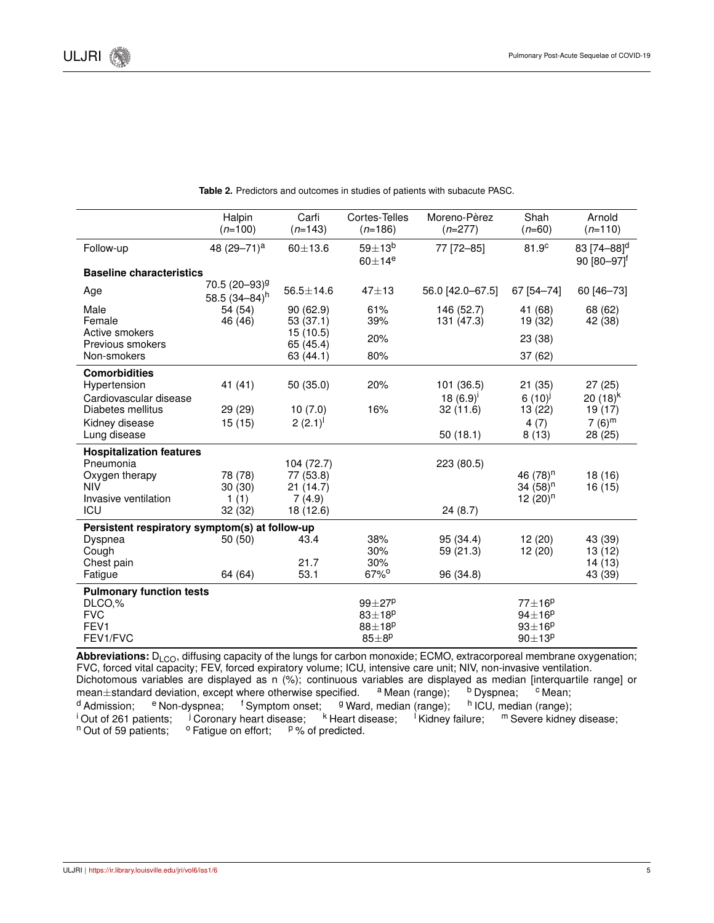|                                                | Halpin<br>$(n=100)$                           | Carfi<br>$(n=143)$    | Cortes-Telles<br>$(n=186)$                           | Moreno-Pèrez<br>$(n=277)$ | Shah<br>$(n=60)$           | Arnold<br>$(n=110)$                                    |
|------------------------------------------------|-----------------------------------------------|-----------------------|------------------------------------------------------|---------------------------|----------------------------|--------------------------------------------------------|
| Follow-up                                      | 48 (29-71) <sup>a</sup>                       | $60 + 13.6$           | $59 \pm 13^b$<br>$60\pm14^e$                         | 77 [72-85]                | 81.9 <sup>c</sup>          | 83 [74-88] <sup>d</sup><br>$90 [80 - 97]$ <sup>f</sup> |
| <b>Baseline characteristics</b>                |                                               |                       |                                                      |                           |                            |                                                        |
| Age                                            | 70.5 (20-93) <sup>g</sup><br>58.5 $(34-84)^h$ | $56.5 \pm 14.6$       | $47 + 13$                                            | 56.0 [42.0-67.5]          | 67 [54-74]                 | 60 [46-73]                                             |
| Male                                           | 54 (54)                                       | 90(62.9)              | 61%                                                  | 146 (52.7)                | 41 (68)                    | 68 (62)                                                |
| Female                                         | 46 (46)                                       | 53(37.1)              | 39%                                                  | 131 (47.3)                | 19 (32)                    | 42 (38)                                                |
| Active smokers<br>Previous smokers             |                                               | 15(10.5)<br>65 (45.4) | 20%                                                  |                           | 23 (38)                    |                                                        |
| Non-smokers                                    |                                               | 63(44.1)              | 80%                                                  |                           | 37(62)                     |                                                        |
| <b>Comorbidities</b>                           |                                               |                       |                                                      |                           |                            |                                                        |
| Hypertension                                   | 41 (41)                                       | 50 (35.0)             | 20%                                                  | 101 (36.5)                | 21 (35)                    | 27(25)                                                 |
| Cardiovascular disease                         |                                               |                       |                                                      | 18 $(6.9)^{i}$            | $6(10)^j$                  | 20 $(18)^k$                                            |
| Diabetes mellitus                              | 29 (29)                                       | 10(7.0)               | 16%                                                  | 32(11.6)                  | 13 (22)                    | 19 (17)                                                |
| Kidney disease<br>Lung disease                 | 15(15)                                        | $2(2.1)^{1}$          |                                                      | 50(18.1)                  | 4(7)<br>8(13)              | $7(6)^m$<br>28 (25)                                    |
| <b>Hospitalization features</b>                |                                               |                       |                                                      |                           |                            |                                                        |
| Pneumonia                                      |                                               | 104 (72.7)            |                                                      | 223 (80.5)                |                            |                                                        |
| Oxygen therapy                                 | 78 (78)                                       | 77 (53.8)             |                                                      |                           | 46 (78) <sup>n</sup>       | 18 (16)                                                |
| <b>NIV</b>                                     | 30(30)                                        | 21(14.7)              |                                                      |                           | 34 $(58)^n$                | 16 (15)                                                |
| Invasive ventilation<br>ICU                    | 1(1)<br>32 (32)                               | 7(4.9)<br>18 (12.6)   |                                                      | 24(8.7)                   | 12 $(20)^n$                |                                                        |
|                                                |                                               |                       |                                                      |                           |                            |                                                        |
| Persistent respiratory symptom(s) at follow-up |                                               |                       |                                                      |                           |                            |                                                        |
| Dyspnea<br>Cough                               | 50(50)                                        | 43.4                  | 38%<br>30%                                           | 95 (34.4)<br>59 (21.3)    | 12(20)<br>12(20)           | 43 (39)<br>13 (12)                                     |
| Chest pain                                     |                                               | 21.7                  | 30%                                                  |                           |                            | 14(13)                                                 |
| Fatigue                                        | 64 (64)                                       | 53.1                  | $67\%$ <sup>o</sup>                                  | 96 (34.8)                 |                            | 43 (39)                                                |
| <b>Pulmonary function tests</b>                |                                               |                       |                                                      |                           |                            |                                                        |
| DLCO,%                                         |                                               |                       | $99\pm27^p$                                          |                           | $77 \pm 16^p$              |                                                        |
| <b>FVC</b><br>FEV <sub>1</sub>                 |                                               |                       | $83 \pm 18$ <sup>p</sup><br>$88 \pm 18$ <sup>p</sup> |                           | $94\pm16^p$                |                                                        |
| FEV1/FVC                                       |                                               |                       | $85 \pm 8^p$                                         |                           | $93\pm16^p$<br>$90\pm13^p$ |                                                        |

**Table 2.** Predictors and outcomes in studies of patients with subacute PASC.

Abbreviations: D<sub>LCO</sub>, diffusing capacity of the lungs for carbon monoxide; ECMO, extracorporeal membrane oxygenation; FVC, forced vital capacity; FEV, forced expiratory volume; ICU, intensive care unit; NIV, non-invasive ventilation. Dichotomous variables are displayed as n  $(\%)$ ; continuous variables are displayed as median [interquartile range] or mean $\pm$ standard deviation, except where otherwise specified.  $a$  Mean (range); b Dyspnea;  $a$  Mean; mean $\pm$ standard deviation, except where otherwise specified.  $a^a$  Mean (range);  $b^b$  Dyspnea;  $c^c$  Mean;  $d^d$  Admission;  $e^b$  Non-dyspnea;  $f^d$  Symptom onset;  $g^d$  Ward, median (range);  $a^b$  ICU, median (range); <sup>d</sup> Admission; <sup>e</sup> Non-dyspnea; <sup>f</sup> Symptom onset; <sup>g</sup> Ward, median (range); <sup>h</sup> ICU<br><sup>i</sup> Out of 261 patients; <sup>j</sup> Coronary heart disease; <sup>k</sup> Heart disease; <sup>i</sup> Kidney failure;  $^{\text{h}}$  ICU, median (range);<br>lure;  $^{\text{m}}$  Severe kidney disease; <sup>i</sup> Out of 261 patients; <sup>j</sup> Coronary heart disease; n Out of 59 patients; o Fatigue on effort; p % of <sup>o</sup> Fatigue on effort; <sup>p</sup>% of predicted.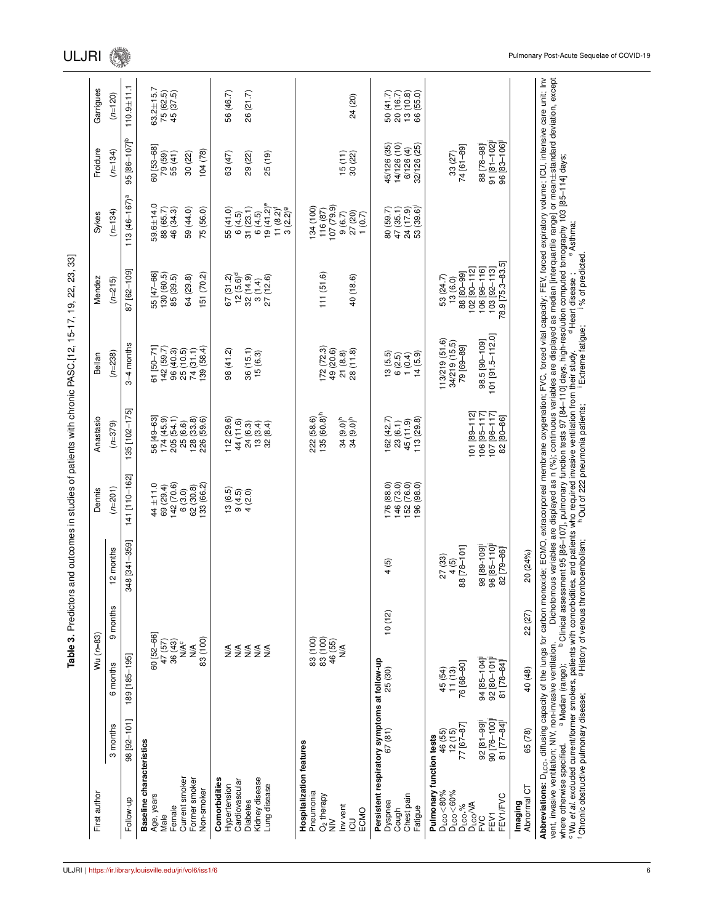| 98 [92-101]<br>3 months<br>Baseline characteristics<br>Current smoker<br>Comorbidities<br>Former smoker<br>Cardiovascular<br>Hypertension<br>Non-smoker<br>Age, years<br>Follow-up<br><b>Diabetes</b><br>Female<br>Male | 60 [52-66]<br>47 (57)<br>36 (43)<br>N/A <sup>c</sup><br>189 [185-195]<br>6 months |          |               |                            |                                                |                        |                  |                                  |                          |                        |
|-------------------------------------------------------------------------------------------------------------------------------------------------------------------------------------------------------------------------|-----------------------------------------------------------------------------------|----------|---------------|----------------------------|------------------------------------------------|------------------------|------------------|----------------------------------|--------------------------|------------------------|
|                                                                                                                                                                                                                         |                                                                                   | 9 months | 12 months     | $(n=201)$                  | $(n=379)$                                      | $(n=238)$              | $(n=215)$        | $(n=134)$                        | $(n=134)$                | $(n=120)$              |
|                                                                                                                                                                                                                         |                                                                                   |          | 348 [341-359] | 141 [110-162]              | 135 [102-175]                                  | $3-4$ months           | 87 [62-109]      | $113(46 - 167)a$                 | 95 [86-107] <sup>b</sup> | $110.9 + 11.1$         |
|                                                                                                                                                                                                                         |                                                                                   |          |               |                            |                                                |                        |                  |                                  |                          |                        |
|                                                                                                                                                                                                                         |                                                                                   |          |               | $44 \pm 11.0$<br>69 (29.4) | 56 [49-63]<br>174 (45.9)                       | $31 [50 - 71]$         | 55 [47-66]       | $59.6 + 14.0$                    | 60 [53-68]               | $63.2 + 15.7$          |
|                                                                                                                                                                                                                         |                                                                                   |          |               |                            |                                                | 142 (59.7)             | 130(60.5)        | 88 (65.7)                        | 79 (59)<br>55 (41)       | 75 (62.5)<br>45 (37.5) |
|                                                                                                                                                                                                                         |                                                                                   |          |               | 142(70.6)                  | 205 (54.1)                                     | 96 (40.3)<br>25 (10.5) | 85 (39.5)        | 46 (34.3)                        |                          |                        |
|                                                                                                                                                                                                                         |                                                                                   |          |               | 6(3.0)                     | 25 (6.6)                                       |                        | 64 (29.8)        | 59 (44.0)                        | 30(22)                   |                        |
|                                                                                                                                                                                                                         | $\frac{4}{\sqrt{2}}$                                                              |          |               | 62(30.8)                   | 128 (33.8)<br>226 (59.6)                       | 74(31.1)               |                  |                                  |                          |                        |
|                                                                                                                                                                                                                         | 83 (100)                                                                          |          |               | 133 (66.2)                 |                                                | 139(58.4)              | 51 (70.2)        | 75 (56.0)                        | 104(78)                  |                        |
|                                                                                                                                                                                                                         |                                                                                   |          |               |                            |                                                |                        |                  |                                  |                          |                        |
|                                                                                                                                                                                                                         |                                                                                   |          |               | 13(6.5)                    | 112 (29.6)                                     | 98 (41.2)              | 67(31.2)         | 55 (41.0)                        | 63 (47)                  | 56 (46.7)              |
|                                                                                                                                                                                                                         |                                                                                   |          |               | $9(4.5)$<br>$4(2.0)$       | 44 (11.6)                                      |                        | $12(5.6)^d$      |                                  |                          |                        |
|                                                                                                                                                                                                                         | <b>ARARA</b><br>SARAR                                                             |          |               |                            | 24 (6.3)                                       | 36(15.1)               | 32(14.9)         | $6(4.5)$<br>31 $(23.1)$          | 29 (22)                  | 26 (21.7)              |
| Kidney disease                                                                                                                                                                                                          |                                                                                   |          |               |                            | 13(3.4)                                        | 15(6.3)                | 3(1.4)           | 6(4.5)                           |                          |                        |
| Lung disease                                                                                                                                                                                                            |                                                                                   |          |               |                            | 32(8.4)                                        |                        | 27 (12.6)        | $19(41.2)^e$                     | 25 (19)                  |                        |
|                                                                                                                                                                                                                         |                                                                                   |          |               |                            |                                                |                        |                  | $11 (8.2)f$<br>3 $(2.2)9$        |                          |                        |
| Hospitalization features                                                                                                                                                                                                |                                                                                   |          |               |                            |                                                |                        |                  |                                  |                          |                        |
| Pneumonia                                                                                                                                                                                                               |                                                                                   |          |               |                            | 222 (58.6)                                     |                        |                  | 134(100)                         |                          |                        |
| $O2$ therapy                                                                                                                                                                                                            | 83 (100)<br>83 (100)                                                              |          |               |                            | $135(60.8)^h$                                  | 72(72.3)               | 111(51.6)        | 116 (87)                         |                          |                        |
| $\geq$                                                                                                                                                                                                                  | 46 (55)                                                                           |          |               |                            |                                                | 49 (20.6)              |                  | 107(79.9)                        |                          |                        |
| Inv vent                                                                                                                                                                                                                | $\frac{4}{2}$                                                                     |          |               |                            | 34 (9.0) <sup>h</sup><br>34 (9.0) <sup>h</sup> | 21(8.8)                |                  | 9(6.7)                           | $15(11)$<br>$30(22)$     |                        |
| $\overline{c}$                                                                                                                                                                                                          |                                                                                   |          |               |                            |                                                | 28 (11.8)              | 40 (18.6)        | 27 (20)                          |                          | 24 (20)                |
| ECMO                                                                                                                                                                                                                    |                                                                                   |          |               |                            |                                                |                        |                  | 1(0.7)                           |                          |                        |
| Persistent respiratory symptoms at follow-up                                                                                                                                                                            |                                                                                   |          |               |                            |                                                |                        |                  |                                  |                          |                        |
| 67(81)<br>Dyspnea                                                                                                                                                                                                       | 25 (30)                                                                           | 10(12)   | 4(5)          | 76 (88.0)                  | 162 (42.7)                                     | 13(5.5)                |                  |                                  | 45/126 (35)              | 50(41.7)               |
| Cough                                                                                                                                                                                                                   |                                                                                   |          |               | 146 (73.0)                 | 23 (6.1)                                       |                        |                  | 80 (59.7)<br>47 (35.1)           | 14/126 (10)              | 20 (16.7)              |
| Chest pain                                                                                                                                                                                                              |                                                                                   |          |               | 152 (76.0)                 | 45 (11.9)                                      | $6(2.5)$<br>1 $(0.4)$  |                  |                                  | 6/126(4)                 |                        |
| Fatigue                                                                                                                                                                                                                 |                                                                                   |          |               | 96 (98.0)                  | 113 (29.8)                                     | 14(5.9)                |                  | (39.6)<br>24 (17.9)<br>53 (39.6) | 32/126 (25)              | 13 (10.8)<br>66 (55.0) |
| Pulmonary function tests                                                                                                                                                                                                |                                                                                   |          |               |                            |                                                |                        |                  |                                  |                          |                        |
| 46 (55)<br>12 (15)<br>$D_{LCO} < 80\%$                                                                                                                                                                                  |                                                                                   |          | 27 (33)       |                            |                                                | 113/219 (51.6)         | 53 (24.7)        |                                  |                          |                        |
| D <sub>LCO</sub> <60%<br>D <sub>LCO</sub> ,%<br>D <sub>LCO</sub> /VA                                                                                                                                                    | 45 (54)<br>11 (13)                                                                |          | 4(5)          |                            |                                                | 34/219 (15.5)          | 13(6.0)          |                                  | 33 (27)                  |                        |
| 77 [67-87                                                                                                                                                                                                               | 76 [68-90]                                                                        |          | 88 [78-101]   |                            |                                                | 79 [69-89]             | 166-08] 88       |                                  | 74 [61-89]               |                        |
|                                                                                                                                                                                                                         |                                                                                   |          |               |                            | $[01]$ $[89-112]$                              |                        | $102$ [90-112]   |                                  |                          |                        |
| $92 [81 - 99]$<br><b>PVC</b>                                                                                                                                                                                            | 94 85-104                                                                         |          | 98 [89-109]   |                            | 106 [95-117]                                   | 98.5 [90-109]          | 106 [96-116]     |                                  | 88 [78-98]               |                        |
| 90 [76-100]<br>FEV1                                                                                                                                                                                                     | 92 [80-101]                                                                       |          | 96 [85-110]   |                            | $107$ [96-117]<br>82 [80-86]                   | 101 [91.5-112.0]       | 103 [92-113]     |                                  | $91 [81 - 102]$          |                        |
| 81 [77-84]<br>FEV1/FVC                                                                                                                                                                                                  | 81 [78-84]                                                                        |          | 82 [79-86]    |                            |                                                |                        | 78.9 [75.3-83.5] |                                  | 96 83-106                |                        |
| Imaging                                                                                                                                                                                                                 |                                                                                   |          |               |                            |                                                |                        |                  |                                  |                          |                        |
| 65 (78)<br>Abnormal CT                                                                                                                                                                                                  | 40 (48)                                                                           | 22 (27)  | 20 (24%)      |                            |                                                |                        |                  |                                  |                          |                        |

f

Chronic obstructive pulmonary disease;

g

History of venous thromboembolism;

 $\epsilon$ 

Out of 222 pneumonia patients;

i

Extreme fatigue;

j % of predicted.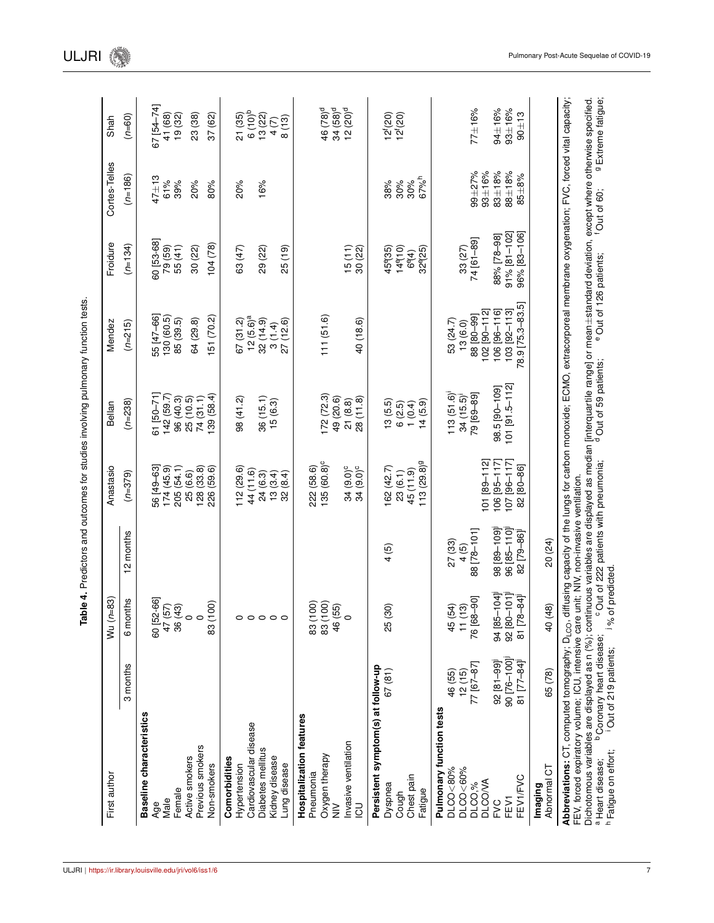|                                    | 3 months        | 6 months                                             | 12 months       | $(n=379)$                  | $(n=238)$        | $(n=215)$             | $(n=134)$            | $(n=186)$    | $(n=60)$                     |
|------------------------------------|-----------------|------------------------------------------------------|-----------------|----------------------------|------------------|-----------------------|----------------------|--------------|------------------------------|
| Baseline characteristics           |                 |                                                      |                 |                            |                  |                       |                      |              |                              |
| Age                                |                 | 60 [52-66]                                           |                 | 56 [49-63]                 | 61 [50-71]       | 55 [47-66]            | 60 [53-68]           | $47 + 13$    | 67 [54-74]                   |
| Male                               |                 | 47 (57)<br>36 (43)                                   |                 | (6.34)(45.9)               | 142 (59.7)       | 130 (60.5)            | 79 (59)<br>55 (41)   | 61%          | 41 (68)                      |
| Female                             |                 |                                                      |                 | 205 (54.1)                 | 96 (40.3)        | 85 (39.5)             |                      | 39%          | 19 (32)                      |
| Active smokers                     |                 | $\circ$                                              |                 | 25 (6.6)                   | 25(10.5)         | 64(29.8)              | 30(22)               | 20%          | 23 (38)                      |
| Previous smokers                   |                 |                                                      |                 | (33.8)                     | 74(31.1)         |                       |                      |              |                              |
| Non-smokers                        |                 | 83 (100)                                             |                 | 226 (59.6)                 | 139 (58.4)       | 151 (70.2)            | 104(78)              | 80%          | 37 (62)                      |
| Comorbidities                      |                 |                                                      |                 |                            |                  |                       |                      |              |                              |
| Hypertension                       |                 |                                                      |                 | 112 (29.6)                 | 98 (41.2)        | 67(31.2)              | 63 (47)              | 20%          | 21 (35)                      |
| Cardiovascular disease             |                 |                                                      |                 | 44 (11.6)                  |                  | 12 (5.6) <sup>a</sup> |                      |              | $6(10)^{b}$                  |
| Diabetes mellitus                  |                 | 00000                                                |                 | 24 (6.3)                   | 36(15.1)         | 32(14.9)              | 29 (22)              | 16%          | 13(22)                       |
| Kidney disease                     |                 |                                                      |                 | (3.4)<br>$\frac{13}{1}$    | 15(6.3)          | 3(1.4)                |                      |              | 4(7)                         |
| Lung disease                       |                 |                                                      |                 | 32(8.4)                    |                  | 27(12.6)              | 25(19)               |              | 8(13)                        |
| Hospitalization features           |                 |                                                      |                 |                            |                  |                       |                      |              |                              |
| Pneumonia                          |                 | 83 (100)                                             |                 | 222 (58.6)                 |                  |                       |                      |              |                              |
| Oxygen therapy                     |                 | 83 (100)                                             |                 | $135(60.8)^c$              | 172(72.3)        | 111(51.6)             |                      |              | 46 (78) <sup>d</sup>         |
| $\geq$                             |                 | 46 (55)                                              |                 |                            | 49 (20.6)        |                       |                      |              | $34 (58)^d$                  |
| nvasive ventilation                |                 | $\circ$                                              |                 | $34(9.0)^c$<br>$34(9.0)^c$ | 21(8.8)          |                       | $15(11)$<br>$30(22)$ |              | $12 (20)^d$                  |
| 3                                  |                 |                                                      |                 |                            | 28 (11.8)        | 40 (18.6)             |                      |              |                              |
| Persistent symptom(s) at follow-up |                 |                                                      |                 |                            |                  |                       |                      |              |                              |
| Dyspnea                            | 67(81)          | 25 (30)                                              | 4(5)            | 162 (42.7)                 | 13(5.5)          |                       | 45° 35)              | 38%          | $12^{t}(20)$<br>$12^{t}(20)$ |
| Cough                              |                 |                                                      |                 | 23(6.1)                    | 6(2.5)           |                       | 14910)               | 30%          |                              |
| Chest pain                         |                 |                                                      |                 | 45 (11.9)                  | 1(0.4)           |                       | 694)                 | 30%          |                              |
| Fatigue                            |                 |                                                      |                 | 113 (29.8) <sup>9</sup>    | 14(5.9)          |                       | 32925)               | 67%h         |                              |
| Pulmonary function tests           |                 |                                                      |                 |                            |                  |                       |                      |              |                              |
| DLCO<80%                           | 46 (55)         | 45 (54)                                              | 27 (33)         |                            | 113(51.6)        | 53 (24.7)             |                      |              |                              |
| $DLOG < 60\%$                      | 12(15)          | $11(13)$<br>$76[68-90]$                              | 4(5)            |                            | 34(15.5)         | 13(6.0)               | 33 (27)              |              |                              |
| DLCO,%                             | $77$ [67-87]    |                                                      | 88 [78-101]     |                            | [69-89]          | 88 80-99              | 74 [61-89]           | $99 + 27%$   | $77 + 16%$                   |
| <b>DLCO/VA</b>                     |                 |                                                      |                 | 101 89-112                 |                  | 102 [90-112]          |                      | $93 \pm 16%$ |                              |
| FVC                                | $92 [81 - 99]$  |                                                      | $98 [89 - 109]$ | 106 [95-117]               | 98.5 [90-109]    | 106 [96-116]          | 88% [78-98]          | $83 + 18%$   | 94±16%                       |
| FEV1                               | 90 $[76 - 100]$ | 94 [85-104] <sup>1</sup><br>92 [80-101] <sup>1</sup> | 96 [85-110]     | 107 [96-117]               | $101$ [91.5-112] | 103 [92-113]          | $91\%$ [81-102]      | $88 + 18%$   | $93 + 16%$                   |
| FEV1/FVC                           | $81$ [77-84]    | $81 [78 - 84]$                                       | $82 [79 - 86]$  | 82 [80-86]                 |                  | 78.9 [75.3-83.5]      | 96% [83-106]         | $85 + 8%$    | $90 + 13$                    |
| Abnormal CT<br>Imaging             | 65 (78)         | 40 (48)                                              | 20 (24)         |                            |                  |                       |                      |              |                              |
|                                    |                 |                                                      |                 |                            |                  |                       |                      |              |                              |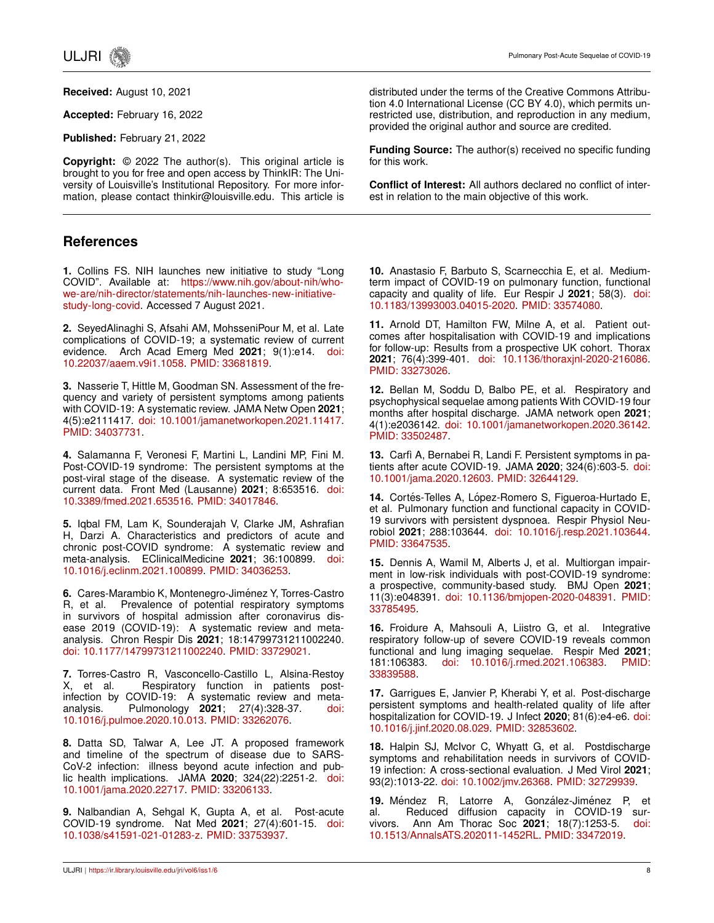

**Received:** August 10, 2021

**Accepted:** February 16, 2022

**Published:** February 21, 2022

**Copyright:** © 2022 The author(s). This original article is brought to you for free and open access by ThinkIR: The University of Louisville's Institutional Repository. For more information, please contact thinkir@louisville.edu. This article is

## **References**

**1.** Collins FS. NIH launches new initiative to study "Long COVID". Available at: [https://www.nih.gov/about-nih/who](https://www.nih.gov/about-nih/who-we-are/nih-director/statements/nih-launches-new-initiative-study-long-covid)[we-are/nih-director/statements/nih-launches-new-initiative](https://www.nih.gov/about-nih/who-we-are/nih-director/statements/nih-launches-new-initiative-study-long-covid)[study-long-covid.](https://www.nih.gov/about-nih/who-we-are/nih-director/statements/nih-launches-new-initiative-study-long-covid) Accessed 7 August 2021.

**2.** SeyedAlinaghi S, Afsahi AM, MohsseniPour M, et al. Late complications of COVID-19; a systematic review of current evidence. Arch Acad Emerg Med **2021**; 9(1):e14. [doi:](http://dx.doi.org/10.22037/aaem.v9i1.1058) [10.22037/aaem.v9i1.1058.](http://dx.doi.org/10.22037/aaem.v9i1.1058) [PMID: 33681819.](https://pubmed.ncbi.nlm.nih.gov/33681819/)

**3.** Nasserie T, Hittle M, Goodman SN. Assessment of the frequency and variety of persistent symptoms among patients with COVID-19: A systematic review. JAMA Netw Open **2021**; 4(5):e2111417. [doi: 10.1001/jamanetworkopen.2021.11417.](http://dx.doi.org/10.1001/jamanetworkopen.2021.11417) [PMID: 34037731.](https://pubmed.ncbi.nlm.nih.gov/34037731/)

**4.** Salamanna F, Veronesi F, Martini L, Landini MP, Fini M. Post-COVID-19 syndrome: The persistent symptoms at the post-viral stage of the disease. A systematic review of the current data. Front Med (Lausanne) **2021**; 8:653516. [doi:](http://dx.doi.org/10.3389/fmed.2021.653516) [10.3389/fmed.2021.653516.](http://dx.doi.org/10.3389/fmed.2021.653516) [PMID: 34017846.](https://pubmed.ncbi.nlm.nih.gov/34017846/)

**5.** Iqbal FM, Lam K, Sounderajah V, Clarke JM, Ashrafian H, Darzi A. Characteristics and predictors of acute and chronic post-COVID syndrome: A systematic review and meta-analysis. EClinicalMedicine **2021**; 36:100899. [doi:](http://dx.doi.org/10.1016/j.eclinm.2021.100899) [10.1016/j.eclinm.2021.100899.](http://dx.doi.org/10.1016/j.eclinm.2021.100899) [PMID: 34036253.](https://pubmed.ncbi.nlm.nih.gov/34036253/)

**6.** Cares-Marambio K, Montenegro-Jiménez Y, Torres-Castro R, et al. Prevalence of potential respiratory symptoms in survivors of hospital admission after coronavirus disease 2019 (COVID-19): A systematic review and metaanalysis. Chron Respir Dis **2021**; 18:14799731211002240. [doi: 10.1177/14799731211002240.](http://dx.doi.org/10.1177/14799731211002240) [PMID: 33729021.](https://pubmed.ncbi.nlm.nih.gov/33729021/)

**7.** Torres-Castro R, Vasconcello-Castillo L, Alsina-Restoy X, et al. Respiratory function in patients postinfection by COVID-19: A systematic review and metaanalysis. Pulmonology **2021**; 27(4):328-37. [doi:](http://dx.doi.org/10.1016/j.pulmoe.2020.10.013) [10.1016/j.pulmoe.2020.10.013.](http://dx.doi.org/10.1016/j.pulmoe.2020.10.013) [PMID: 33262076.](https://pubmed.ncbi.nlm.nih.gov/33262076/)

**8.** Datta SD, Talwar A, Lee JT. A proposed framework and timeline of the spectrum of disease due to SARS-CoV-2 infection: illness beyond acute infection and public health implications. JAMA **2020**; 324(22):2251-2. [doi:](http://dx.doi.org/10.1001/jama.2020.22717) [10.1001/jama.2020.22717.](http://dx.doi.org/10.1001/jama.2020.22717) [PMID: 33206133.](https://pubmed.ncbi.nlm.nih.gov/33206133/)

**9.** Nalbandian A, Sehgal K, Gupta A, et al. Post-acute COVID-19 syndrome. Nat Med **2021**; 27(4):601-15. [doi:](http://dx.doi.org/10.1038/s41591-021-01283-z) [10.1038/s41591-021-01283-z.](http://dx.doi.org/10.1038/s41591-021-01283-z) [PMID: 33753937.](https://pubmed.ncbi.nlm.nih.gov/33753937/)

distributed under the terms of the Creative Commons Attribution 4.0 International License (CC BY 4.0), which permits unrestricted use, distribution, and reproduction in any medium, provided the original author and source are credited.

**Funding Source:** The author(s) received no specific funding for this work.

**Conflict of Interest:** All authors declared no conflict of interest in relation to the main objective of this work.

**10.** Anastasio F, Barbuto S, Scarnecchia E, et al. Mediumterm impact of COVID-19 on pulmonary function, functional capacity and quality of life. Eur Respir J **2021**; 58(3). [doi:](http://dx.doi.org/10.1183/13993003.04015-2020) [10.1183/13993003.04015-2020.](http://dx.doi.org/10.1183/13993003.04015-2020) [PMID: 33574080.](https://pubmed.ncbi.nlm.nih.gov/33574080/)

**11.** Arnold DT, Hamilton FW, Milne A, et al. Patient outcomes after hospitalisation with COVID-19 and implications for follow-up: Results from a prospective UK cohort. Thorax **2021**; 76(4):399-401. [doi: 10.1136/thoraxjnl-2020-216086.](http://dx.doi.org/10.1136/thoraxjnl-2020-216086) [PMID: 33273026.](https://pubmed.ncbi.nlm.nih.gov/33273026/)

**12.** Bellan M, Soddu D, Balbo PE, et al. Respiratory and psychophysical sequelae among patients With COVID-19 four months after hospital discharge. JAMA network open **2021**; 4(1):e2036142. [doi: 10.1001/jamanetworkopen.2020.36142.](http://dx.doi.org/10.1001/jamanetworkopen.2020.36142) [PMID: 33502487.](https://pubmed.ncbi.nlm.nih.gov/33502487/)

**13.** Carfì A, Bernabei R, Landi F. Persistent symptoms in patients after acute COVID-19. JAMA **2020**; 324(6):603-5. [doi:](http://dx.doi.org/10.1001/jama.2020.12603) [10.1001/jama.2020.12603.](http://dx.doi.org/10.1001/jama.2020.12603) [PMID: 32644129.](https://pubmed.ncbi.nlm.nih.gov/32644129/)

14. Cortés-Telles A, López-Romero S, Figueroa-Hurtado E, et al. Pulmonary function and functional capacity in COVID-19 survivors with persistent dyspnoea. Respir Physiol Neurobiol **2021**; 288:103644. [doi: 10.1016/j.resp.2021.103644.](http://dx.doi.org/10.1016/j.resp.2021.103644) [PMID: 33647535.](https://pubmed.ncbi.nlm.nih.gov/33647535/)

**15.** Dennis A, Wamil M, Alberts J, et al. Multiorgan impairment in low-risk individuals with post-COVID-19 syndrome: a prospective, community-based study. BMJ Open **2021**; 11(3):e048391. [doi: 10.1136/bmjopen-2020-048391.](http://dx.doi.org/10.1136/bmjopen-2020-048391) [PMID:](https://pubmed.ncbi.nlm.nih.gov/33785495/) [33785495.](https://pubmed.ncbi.nlm.nih.gov/33785495/)

**16.** Froidure A, Mahsouli A, Liistro G, et al. Integrative respiratory follow-up of severe COVID-19 reveals common functional and lung imaging sequelae. Respir Med **2021**; 181:106383. [doi: 10.1016/j.rmed.2021.106383.](http://dx.doi.org/10.1016/j.rmed.2021.106383) [PMID:](https://pubmed.ncbi.nlm.nih.gov/33839588/) [33839588.](https://pubmed.ncbi.nlm.nih.gov/33839588/)

**17.** Garrigues E, Janvier P, Kherabi Y, et al. Post-discharge persistent symptoms and health-related quality of life after hospitalization for COVID-19. J Infect **2020**; 81(6):e4-e6. [doi:](http://dx.doi.org/10.1016/j.jinf.2020.08.029) [10.1016/j.jinf.2020.08.029.](http://dx.doi.org/10.1016/j.jinf.2020.08.029) [PMID: 32853602.](https://pubmed.ncbi.nlm.nih.gov/32853602/)

**18.** Halpin SJ, McIvor C, Whyatt G, et al. Postdischarge symptoms and rehabilitation needs in survivors of COVID-19 infection: A cross-sectional evaluation. J Med Virol **2021**; 93(2):1013-22. [doi: 10.1002/jmv.26368.](http://dx.doi.org/10.1002/jmv.26368) [PMID: 32729939.](https://pubmed.ncbi.nlm.nih.gov/32729939/)

**19.** Méndez R, Latorre A, González-Jiménez P, et al. Reduced diffusion capacity in COVID-19 survivors. Ann Am Thorac Soc **2021**; 18(7):1253-5. [doi:](http://dx.doi.org/10.1513/AnnalsATS.202011-1452RL) [10.1513/AnnalsATS.202011-1452RL.](http://dx.doi.org/10.1513/AnnalsATS.202011-1452RL) [PMID: 33472019.](https://pubmed.ncbi.nlm.nih.gov/33472019/)